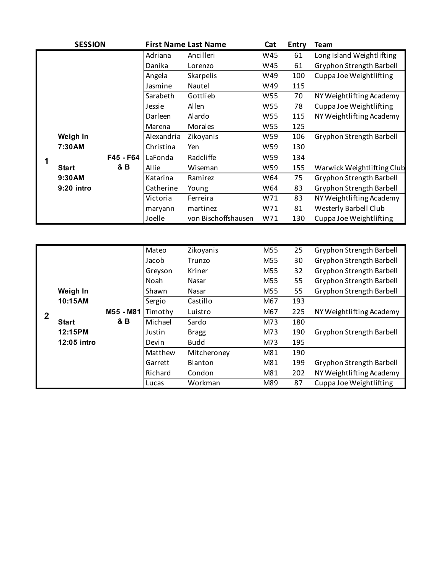|  | <b>SESSION</b> |           |            | <b>First Name Last Name</b> | Cat | <b>Entry</b>             | Team                       |
|--|----------------|-----------|------------|-----------------------------|-----|--------------------------|----------------------------|
|  |                |           | Adriana    | Ancilleri                   | W45 | 61                       | Long Island Weightlifting  |
|  |                |           | Danika     | Lorenzo                     | W45 | 61                       | Gryphon Strength Barbell   |
|  |                |           | Angela     | Skarpelis                   | W49 | 100                      | Cuppa Joe Weightlifting    |
|  |                |           | Jasmine    | Nautel                      | W49 | 115                      |                            |
|  |                |           | Sarabeth   | Gottlieb                    | W55 | 70                       | NY Weightlifting Academy   |
|  |                |           | Jessie     | Allen                       | W55 | 78                       | Cuppa Joe Weightlifting    |
|  |                | Darleen   | Alardo     | W55                         | 115 | NY Weightlifting Academy |                            |
|  |                |           | Marena     | Morales                     | W55 | 125                      |                            |
|  | Weigh In       |           | Alexandria | Zikoyanis                   | W59 | 106                      | Gryphon Strength Barbell   |
|  | 7:30AM         |           | Christina  | Yen                         | W59 | 130                      |                            |
|  |                | F45 - F64 | LaFonda    | Radcliffe                   | W59 | 134                      |                            |
|  | <b>Start</b>   | &B        | Allie      | Wiseman                     | W59 | 155                      | Warwick Weightlifting Club |
|  | 9:30AM         |           | Katarina   | Ramirez                     | W64 | 75                       | Gryphon Strength Barbell   |
|  | 9:20 intro     |           | Catherine  | Young                       | W64 | 83                       | Gryphon Strength Barbell   |
|  |                |           | Victoria   | Ferreira                    | W71 | 83                       | NY Weightlifting Academy   |
|  |                |           | maryann    | martinez                    | W71 | 81                       | Westerly Barbell Club      |
|  |                |           | Joelle     | von Bischoffshausen         | W71 | 130                      | Cuppa Joe Weightlifting    |
|  |                |           |            |                             |     |                          |                            |

|              |              |           | Mateo       | Zikoyanis      | M55 | 25  | Gryphon Strength Barbell |
|--------------|--------------|-----------|-------------|----------------|-----|-----|--------------------------|
|              |              |           | Jacob       | Trunzo         | M55 | 30  | Gryphon Strength Barbell |
|              |              |           | Greyson     | Kriner         | M55 | 32  | Gryphon Strength Barbell |
|              |              |           | <b>Noah</b> | Nasar          | M55 | 55  | Gryphon Strength Barbell |
|              | Weigh In     |           | Shawn       | Nasar          | M55 | 55  | Gryphon Strength Barbell |
|              | 10:15AM      |           | Sergio      | Castillo       | M67 | 193 |                          |
| $\mathbf{2}$ |              | M55 - M81 | Timothy     | Luistro        | M67 | 225 | NY Weightlifting Academy |
|              | <b>Start</b> | 8B        | Michael     | Sardo          | M73 | 180 |                          |
|              | 12:15PM      |           | Justin      | <b>Bragg</b>   | M73 | 190 | Gryphon Strength Barbell |
|              | 12:05 intro  |           | Devin       | <b>Budd</b>    | M73 | 195 |                          |
|              |              |           | Matthew     | Mitcheroney    | M81 | 190 |                          |
|              |              |           | Garrett     | <b>Blanton</b> | M81 | 199 | Gryphon Strength Barbell |
|              |              |           | Richard     | Condon         | M81 | 202 | NY Weightlifting Academy |
|              |              |           | Lucas       | Workman        | M89 | 87  | Cuppa Joe Weightlifting  |